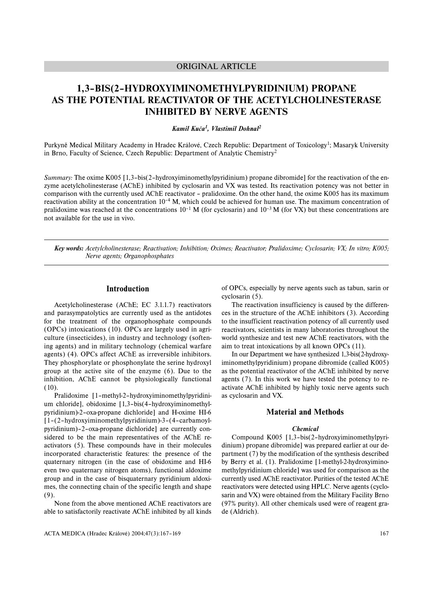## ORIGINAL ARTICLE

# **1,3–BIS(2–HYDROXYIMINOMETHYLPYRIDINIUM) PROPANE AS THE POTENTIAL REACTIVATOR OF THE ACETYLCHOLINESTERASE INHIBITED BY NERVE AGENTS**

## *Kamil Kuča1, Vlastimil Dohnal2*

Purkyně Medical Military Academy in Hradec Králové, Czech Republic: Department of Toxicology<sup>1</sup>; Masaryk University in Brno, Faculty of Science, Czech Republic: Department of Analytic Chemistry2

*Summary:* The oxime K005 [1,3-bis(2-hydroxyiminomethylpyridinium) propane dibromide] for the reactivation of the enzyme acetylcholinesterase (AChE) inhibited by cyclosarin and VX was tested. Its reactivation potency was not better in comparison with the currently used AChE reactivator – pralidoxime. On the other hand, the oxime K005 has its maximum reactivation ability at the concentration  $10^{-4}$  M, which could be achieved for human use. The maximum concentration of pralidoxime was reached at the concentrations  $10^{-1}$  M (for cyclosarin) and  $10^{-3}$  M (for VX) but these concentrations are not available for the use in vivo.

*Key words: Acetylcholinesterase; Reactivation; Inhibition; Oximes; Reactivator; Pralidoxime; Cyclosarin; VX; In vitro; K005; Nerve agents; Organophosphates*

## **Introduction**

Acetylcholinesterase (AChE; EC 3.1.1.7) reactivators and parasympatolytics are currently used as the antidotes for the treatment of the organophosphate compounds (OPCs) intoxications (10). OPCs are largely used in agriculture (insecticides), in industry and technology (softening agents) and in military technology (chemical warfare agents) (4). OPCs affect AChE as irreversible inhibitors. They phosphorylate or phosphonylate the serine hydroxyl group at the active site of the enzyme (6). Due to the inhibition, AChE cannot be physiologically functional (10).

Pralidoxime [1–methyl-2–hydroxyiminomethylpyridinium chloride], obidoxime [1,3–bis(4–hydroxyiminomethylpyridinium)-2–oxa-propane dichloride] and H-oxime HI-6 [1–(2–hydroxyiminomethylpyridinium)-3–(4–carbamoylpyridinium)–2–oxa-propane dichloride] are currently considered to be the main representatives of the AChE reactivators (5). These compounds have in their molecules incorporated characteristic features: the presence of the quaternary nitrogen (in the case of obidoxime and HI-6 even two quaternary nitrogen atoms), functional aldoxime group and in the case of bisquaternary pyridinium aldoximes, the connecting chain of the specific length and shape (9).

None from the above mentioned AChE reactivators are able to satisfactorily reactivate AChE inhibited by all kinds of OPCs, especially by nerve agents such as tabun, sarin or cyclosarin (5).

The reactivation insufficiency is caused by the differences in the structure of the AChE inhibitors (3). According to the insufficient reactivation potency of all currently used reactivators, scientists in many laboratories throughout the world synthesize and test new AChE reactivators, with the aim to treat intoxications by all known OPCs (11).

In our Department we have synthesized 1,3-bis(2-hydroxyiminomethylpyridinium) propane dibromide (called K005) as the potential reactivator of the AChE inhibited by nerve agents (7). In this work we have tested the potency to reactivate AChE inhibited by highly toxic nerve agents such as cyclosarin and VX.

#### **Material and Methods**

#### *Chemical*

Compound K005 [1,3–bis(2–hydroxyiminomethylpyridinium) propane dibromide] was prepared earlier at our department (7) by the modification of the synthesis described by Berry et al. (1). Pralidoxime [1-methyl-2-hydroxyiminomethylpyridinium chloride] was used for comparison as the currently used AChE reactivator. Purities of the tested AChE reactivators were detected using HPLC. Nerve agents (cyclosarin and VX) were obtained from the Military Facility Brno (97% purity). All other chemicals used were of reagent grade (Aldrich).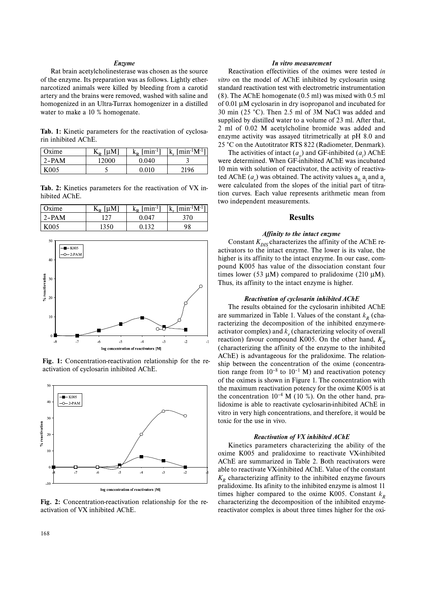#### *Enzyme*

Rat brain acetylcholinesterase was chosen as the source of the enzyme. Its preparation was as follows. Lightly ethernarcotized animals were killed by bleeding from a carotid artery and the brains were removed, washed with saline and homogenized in an Ultra-Turrax homogenizer in a distilled water to make a 10 % homogenate.

**Tab. 1:** Kinetic parameters for the reactivation of cyclosarin inhibited AChE.

| ' Oxime          | $K_{R}$ [µM] | $k_{\rm p}$ [min <sup>-1</sup> ] | $ k_{r}$ [min <sup>-1</sup> M <sup>-1</sup> ] |
|------------------|--------------|----------------------------------|-----------------------------------------------|
| $12-PAM$         | 12000        | 0.040                            |                                               |
| K <sub>005</sub> |              | 0.010                            | 2196                                          |

**Tab. 2:** Kinetics parameters for the reactivation of VX inhibited AChE.

| Oxime    | [µM]<br>$\mathbf{L}_{\mathbf{D}}$ | $\lceil \min^{-1} \rceil$<br>$k_{\rm D}$ | $\vert k_r \vert \min^{-1} M^{-1} \vert$ |
|----------|-----------------------------------|------------------------------------------|------------------------------------------|
| $12-PAM$ |                                   | 0.047                                    | 370                                      |
| K005     | 1350                              | 0.132                                    | 98                                       |



**Fig. 1:** Concentration-reactivation relationship for the reactivation of cyclosarin inhibited AChE.



**Fig. 2:** Concentration-reactivation relationship for the reactivation of VX inhibited AChE.

#### *In vitro measurement*

Reactivation effectivities of the oximes were tested *in vitro* on the model of AChE inhibited by cyclosarin using standard reactivation test with electrometric instrumentation (8). The AChE homogenate (0.5 ml) was mixed with 0.5 ml of 0.01 µM cyclosarin in dry isopropanol and incubated for 30 min (25 °C). Then 2.5 ml of 3M NaCl was added and supplied by distilled water to a volume of 23 ml. After that, 2 ml of 0.02 M acetylcholine bromide was added and enzyme activity was assayed titrimetrically at pH 8.0 and 25 °C on the Autotitrator RTS 822 (Radiometer, Denmark).

The activities of intact  $(a_o)$  and GF-inhibited  $(a_i)$  AChE were determined. When GF-inhibited AChE was incubated 10 min with solution of reactivator, the activity of reactivated AChE  $(a_r)$  was obtained. The activity values  $a_{0,1}$  a<sub>i</sub> and  $a_r$ were calculated from the slopes of the initial part of titration curves. Each value represents arithmetic mean from two independent measurements.

## **Results**

#### *Affinity to the intact enzyme*

Constant  $K_{DIS}$  characterizes the affinity of the AChE reactivators to the intact enzyme. The lower is its value, the higher is its affinity to the intact enzyme. In our case, compound K005 has value of the dissociation constant four times lower (53  $\mu$ M) compared to pralidoxime (210  $\mu$ M). Thus, its affinity to the intact enzyme is higher.

#### *Reactivation of cyclosarin inhibited AChE*

The results obtained for the cyclosarin inhibited AChE are summarized in Table 1. Values of the constant  $k_p$  (characterizing the decomposition of the inhibited enzyme-reactivator complex) and  $k_r$  (characterizing velocity of overall reaction) favour compound K005. On the other hand,  $K<sub>R</sub>$ (characterizing the affinity of the enzyme to the inhibited AChE) is advantageous for the pralidoxime. The relationship between the concentration of the oxime (concentration range from  $10^{-8}$  to  $10^{-1}$  M) and reactivation potency of the oximes is shown in Figure 1. The concentration with the maximum reactivation potency for the oxime K005 is at the concentration  $10^{-4}$  M (10 %). On the other hand, pralidoxime is able to reactivate cyclosarin-inhibited AChE in vitro in very high concentrations, and therefore, it would be toxic for the use in vivo.

#### *Reactivation of VX inhibited AChE*

Kinetics parameters characterizing the ability of the oxime K005 and pralidoxime to reactivate VX-inhibited AChE are summarized in Table 2. Both reactivators were able to reactivate VX-inhibited AChE. Value of the constant  $K_R$  characterizing affinity to the inhibited enzyme favours pralidoxime. Its afinity to the inhibited enzyme is almost 11 times higher compared to the oxime K005. Constant  $k<sub>R</sub>$ characterizing the decomposition of the inhibited enzymereactivator complex is about three times higher for the oxi